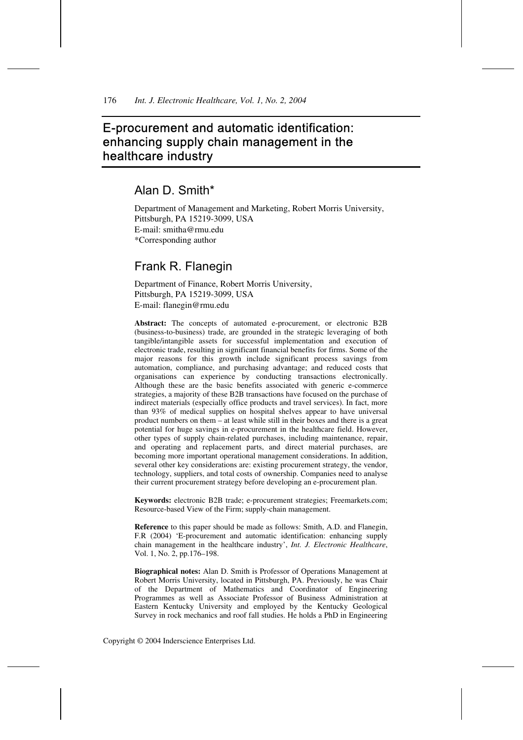# E-procurement and automatic identification: enhancing supply chain management in the healthcare industry

# Alan D. Smith\*

Department of Management and Marketing, Robert Morris University, Pittsburgh, PA 15219-3099, USA E-mail: smitha@rmu.edu \*Corresponding author

# Frank R. Flanegin

Department of Finance, Robert Morris University, Pittsburgh, PA 15219-3099, USA E-mail: flanegin@rmu.edu

**Abstract:** The concepts of automated e-procurement, or electronic B2B (business-to-business) trade, are grounded in the strategic leveraging of both tangible/intangible assets for successful implementation and execution of electronic trade, resulting in significant financial benefits for firms. Some of the major reasons for this growth include significant process savings from automation, compliance, and purchasing advantage; and reduced costs that organisations can experience by conducting transactions electronically. Although these are the basic benefits associated with generic e-commerce strategies, a majority of these B2B transactions have focused on the purchase of indirect materials (especially office products and travel services). In fact, more than 93% of medical supplies on hospital shelves appear to have universal product numbers on them – at least while still in their boxes and there is a great potential for huge savings in e-procurement in the healthcare field. However, other types of supply chain-related purchases, including maintenance, repair, and operating and replacement parts, and direct material purchases, are becoming more important operational management considerations. In addition, several other key considerations are: existing procurement strategy, the vendor, technology, suppliers, and total costs of ownership. Companies need to analyse their current procurement strategy before developing an e-procurement plan.

**Keywords:** electronic B2B trade; e-procurement strategies; Freemarkets.com; Resource-based View of the Firm; supply-chain management.

**Reference** to this paper should be made as follows: Smith, A.D. and Flanegin, F.R (2004) 'E-procurement and automatic identification: enhancing supply chain management in the healthcare industry', *Int. J. Electronic Healthcare*, Vol. 1, No. 2, pp.176–198.

**Biographical notes:** Alan D. Smith is Professor of Operations Management at Robert Morris University, located in Pittsburgh, PA. Previously, he was Chair of the Department of Mathematics and Coordinator of Engineering Programmes as well as Associate Professor of Business Administration at Eastern Kentucky University and employed by the Kentucky Geological Survey in rock mechanics and roof fall studies. He holds a PhD in Engineering

Copyright © 2004 Inderscience Enterprises Ltd.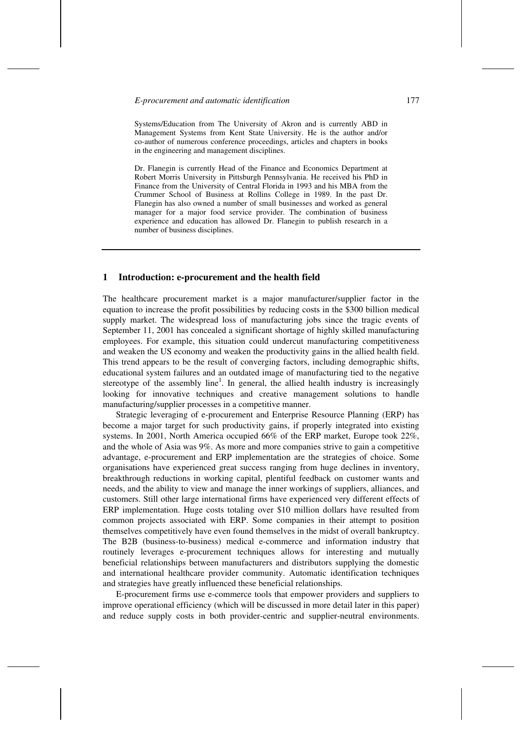Systems/Education from The University of Akron and is currently ABD in Management Systems from Kent State University. He is the author and/or co-author of numerous conference proceedings, articles and chapters in books in the engineering and management disciplines.

Dr. Flanegin is currently Head of the Finance and Economics Department at Robert Morris University in Pittsburgh Pennsylvania. He received his PhD in Finance from the University of Central Florida in 1993 and his MBA from the Crummer School of Business at Rollins College in 1989. In the past Dr. Flanegin has also owned a number of small businesses and worked as general manager for a major food service provider. The combination of business experience and education has allowed Dr. Flanegin to publish research in a number of business disciplines.

#### **1 Introduction: e-procurement and the health field**

The healthcare procurement market is a major manufacturer/supplier factor in the equation to increase the profit possibilities by reducing costs in the \$300 billion medical supply market. The widespread loss of manufacturing jobs since the tragic events of September 11, 2001 has concealed a significant shortage of highly skilled manufacturing employees. For example, this situation could undercut manufacturing competitiveness and weaken the US economy and weaken the productivity gains in the allied health field. This trend appears to be the result of converging factors, including demographic shifts, educational system failures and an outdated image of manufacturing tied to the negative stereotype of the assembly  $line<sup>1</sup>$ . In general, the allied health industry is increasingly looking for innovative techniques and creative management solutions to handle manufacturing/supplier processes in a competitive manner.

Strategic leveraging of e-procurement and Enterprise Resource Planning (ERP) has become a major target for such productivity gains, if properly integrated into existing systems. In 2001, North America occupied 66% of the ERP market, Europe took 22%, and the whole of Asia was 9%. As more and more companies strive to gain a competitive advantage, e-procurement and ERP implementation are the strategies of choice. Some organisations have experienced great success ranging from huge declines in inventory, breakthrough reductions in working capital, plentiful feedback on customer wants and needs, and the ability to view and manage the inner workings of suppliers, alliances, and customers. Still other large international firms have experienced very different effects of ERP implementation. Huge costs totaling over \$10 million dollars have resulted from common projects associated with ERP. Some companies in their attempt to position themselves competitively have even found themselves in the midst of overall bankruptcy. The B2B (business-to-business) medical e-commerce and information industry that routinely leverages e-procurement techniques allows for interesting and mutually beneficial relationships between manufacturers and distributors supplying the domestic and international healthcare provider community. Automatic identification techniques and strategies have greatly influenced these beneficial relationships.

E-procurement firms use e-commerce tools that empower providers and suppliers to improve operational efficiency (which will be discussed in more detail later in this paper) and reduce supply costs in both provider-centric and supplier-neutral environments.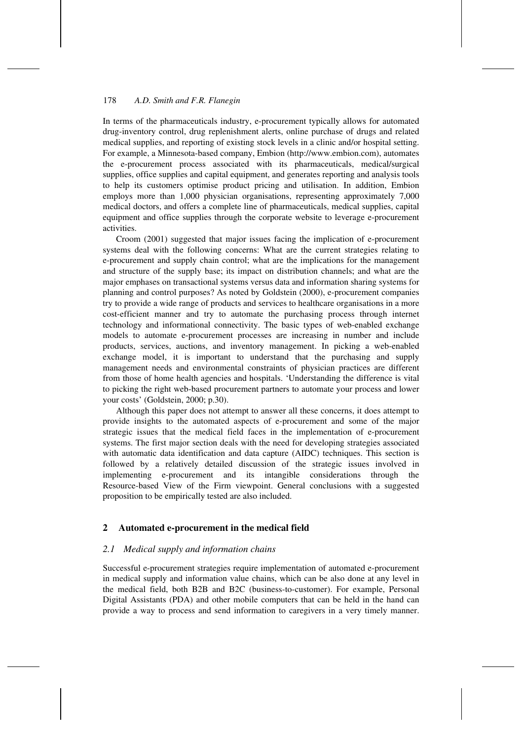In terms of the pharmaceuticals industry, e-procurement typically allows for automated drug-inventory control, drug replenishment alerts, online purchase of drugs and related medical supplies, and reporting of existing stock levels in a clinic and/or hospital setting. For example, a Minnesota-based company, Embion (http://www.embion.com), automates the e-procurement process associated with its pharmaceuticals, medical/surgical supplies, office supplies and capital equipment, and generates reporting and analysis tools to help its customers optimise product pricing and utilisation. In addition, Embion employs more than 1,000 physician organisations, representing approximately 7,000 medical doctors, and offers a complete line of pharmaceuticals, medical supplies, capital equipment and office supplies through the corporate website to leverage e-procurement activities.

Croom (2001) suggested that major issues facing the implication of e-procurement systems deal with the following concerns: What are the current strategies relating to e-procurement and supply chain control; what are the implications for the management and structure of the supply base; its impact on distribution channels; and what are the major emphases on transactional systems versus data and information sharing systems for planning and control purposes? As noted by Goldstein (2000), e-procurement companies try to provide a wide range of products and services to healthcare organisations in a more cost-efficient manner and try to automate the purchasing process through internet technology and informational connectivity. The basic types of web-enabled exchange models to automate e-procurement processes are increasing in number and include products, services, auctions, and inventory management. In picking a web-enabled exchange model, it is important to understand that the purchasing and supply management needs and environmental constraints of physician practices are different from those of home health agencies and hospitals. 'Understanding the difference is vital to picking the right web-based procurement partners to automate your process and lower your costs' (Goldstein, 2000; p.30).

Although this paper does not attempt to answer all these concerns, it does attempt to provide insights to the automated aspects of e-procurement and some of the major strategic issues that the medical field faces in the implementation of e-procurement systems. The first major section deals with the need for developing strategies associated with automatic data identification and data capture (AIDC) techniques. This section is followed by a relatively detailed discussion of the strategic issues involved in implementing e-procurement and its intangible considerations through the Resource-based View of the Firm viewpoint. General conclusions with a suggested proposition to be empirically tested are also included.

## **2 Automated e-procurement in the medical field**

## *2.1 Medical supply and information chains*

Successful e-procurement strategies require implementation of automated e-procurement in medical supply and information value chains, which can be also done at any level in the medical field, both B2B and B2C (business-to-customer). For example, Personal Digital Assistants (PDA) and other mobile computers that can be held in the hand can provide a way to process and send information to caregivers in a very timely manner.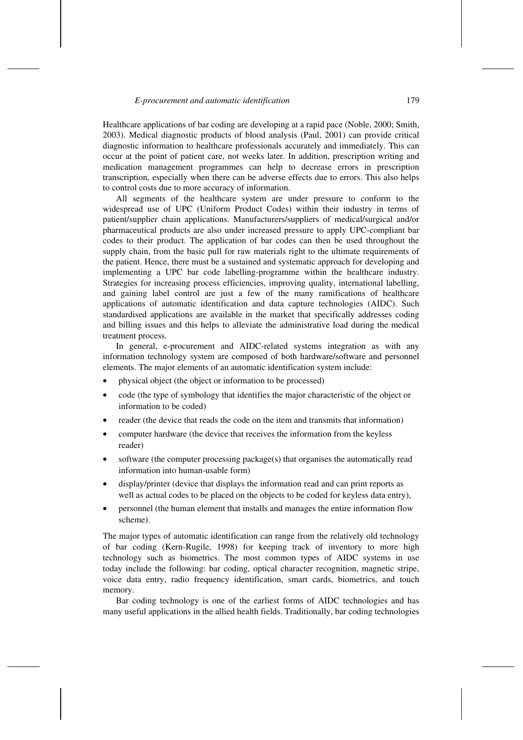Healthcare applications of bar coding are developing at a rapid pace (Noble, 2000; Smith, 2003). Medical diagnostic products of blood analysis (Paul, 2001) can provide critical diagnostic information to healthcare professionals accurately and immediately. This can occur at the point of patient care, not weeks later. In addition, prescription writing and medication management programmes can help to decrease errors in prescription transcription, especially when there can be adverse effects due to errors. This also helps to control costs due to more accuracy of information.

All segments of the healthcare system are under pressure to conform to the widespread use of UPC (Uniform Product Codes) within their industry in terms of patient/supplier chain applications. Manufacturers/suppliers of medical/surgical and/or pharmaceutical products are also under increased pressure to apply UPC-compliant bar codes to their product. The application of bar codes can then be used throughout the supply chain, from the basic pull for raw materials right to the ultimate requirements of the patient. Hence, there must be a sustained and systematic approach for developing and implementing a UPC bar code labelling-programme within the healthcare industry. Strategies for increasing process efficiencies, improving quality, international labelling, and gaining label control are just a few of the many ramifications of healthcare applications of automatic identification and data capture technologies (AIDC). Such standardised applications are available in the market that specifically addresses coding and billing issues and this helps to alleviate the administrative load during the medical treatment process.

In general, e-procurement and AIDC-related systems integration as with any information technology system are composed of both hardware/software and personnel elements. The major elements of an automatic identification system include:

- physical object (the object or information to be processed)
- code (the type of symbology that identifies the major characteristic of the object or information to be coded)
- reader (the device that reads the code on the item and transmits that information)
- computer hardware (the device that receives the information from the keyless reader)
- software (the computer processing package(s) that organises the automatically read information into human-usable form)
- display/printer (device that displays the information read and can print reports as well as actual codes to be placed on the objects to be coded for keyless data entry),
- personnel (the human element that installs and manages the entire information flow scheme).

The major types of automatic identification can range from the relatively old technology of bar coding (Kern-Rugile, 1998) for keeping track of inventory to more high technology such as biometrics. The most common types of AIDC systems in use today include the following: bar coding, optical character recognition, magnetic stripe, voice data entry, radio frequency identification, smart cards, biometrics, and touch memory.

Bar coding technology is one of the earliest forms of AIDC technologies and has many useful applications in the allied health fields. Traditionally, bar coding technologies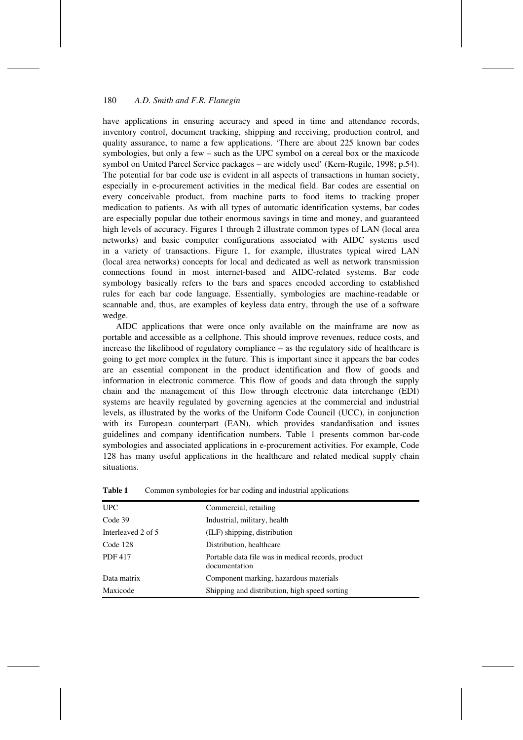have applications in ensuring accuracy and speed in time and attendance records, inventory control, document tracking, shipping and receiving, production control, and quality assurance, to name a few applications. 'There are about 225 known bar codes symbologies, but only a few – such as the UPC symbol on a cereal box or the maxicode symbol on United Parcel Service packages – are widely used' (Kern-Rugile, 1998; p.54). The potential for bar code use is evident in all aspects of transactions in human society, especially in e-procurement activities in the medical field. Bar codes are essential on every conceivable product, from machine parts to food items to tracking proper medication to patients. As with all types of automatic identification systems, bar codes are especially popular due totheir enormous savings in time and money, and guaranteed high levels of accuracy. Figures 1 through 2 illustrate common types of LAN (local area networks) and basic computer configurations associated with AIDC systems used in a variety of transactions. Figure 1, for example, illustrates typical wired LAN (local area networks) concepts for local and dedicated as well as network transmission connections found in most internet-based and AIDC-related systems. Bar code symbology basically refers to the bars and spaces encoded according to established rules for each bar code language. Essentially, symbologies are machine-readable or scannable and, thus, are examples of keyless data entry, through the use of a software wedge.

AIDC applications that were once only available on the mainframe are now as portable and accessible as a cellphone. This should improve revenues, reduce costs, and increase the likelihood of regulatory compliance – as the regulatory side of healthcare is going to get more complex in the future. This is important since it appears the bar codes are an essential component in the product identification and flow of goods and information in electronic commerce. This flow of goods and data through the supply chain and the management of this flow through electronic data interchange (EDI) systems are heavily regulated by governing agencies at the commercial and industrial levels, as illustrated by the works of the Uniform Code Council (UCC), in conjunction with its European counterpart (EAN), which provides standardisation and issues guidelines and company identification numbers. Table 1 presents common bar-code symbologies and associated applications in e-procurement activities. For example, Code 128 has many useful applications in the healthcare and related medical supply chain situations.

| <b>UPC</b>         | Commercial, retailing                                               |
|--------------------|---------------------------------------------------------------------|
| Code 39            | Industrial, military, health                                        |
| Interleaved 2 of 5 | (ILF) shipping, distribution                                        |
| Code 128           | Distribution, healthcare                                            |
| <b>PDF417</b>      | Portable data file was in medical records, product<br>documentation |
| Data matrix        | Component marking, hazardous materials                              |
| Maxicode           | Shipping and distribution, high speed sorting                       |

**Table 1** Common symbologies for bar coding and industrial applications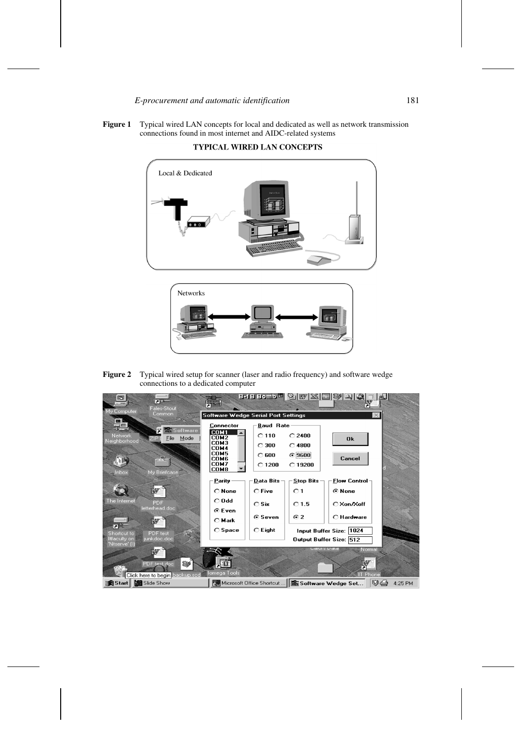



TYPICAL WIRED LAN CONCEPTS



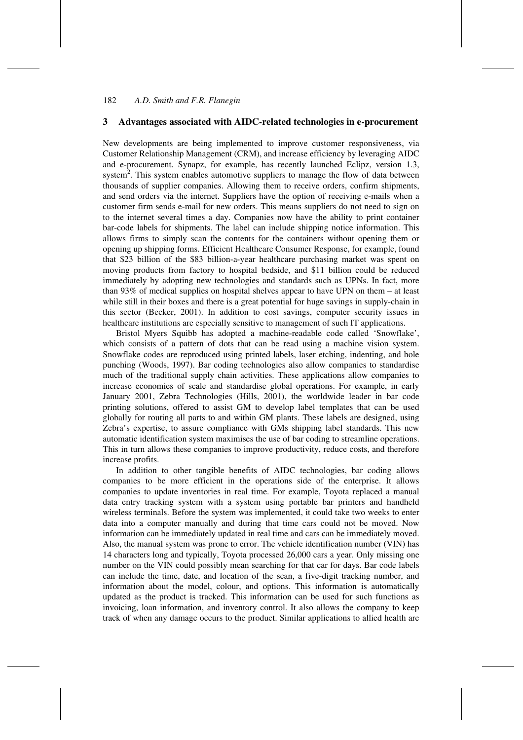### **3 Advantages associated with AIDC-related technologies in e-procurement**

New developments are being implemented to improve customer responsiveness, via Customer Relationship Management (CRM), and increase efficiency by leveraging AIDC and e-procurement. Synapz, for example, has recently launched Eclipz, version 1.3, system<sup>2</sup>. This system enables automotive suppliers to manage the flow of data between thousands of supplier companies. Allowing them to receive orders, confirm shipments, and send orders via the internet. Suppliers have the option of receiving e-mails when a customer firm sends e-mail for new orders. This means suppliers do not need to sign on to the internet several times a day. Companies now have the ability to print container bar-code labels for shipments. The label can include shipping notice information. This allows firms to simply scan the contents for the containers without opening them or opening up shipping forms. Efficient Healthcare Consumer Response, for example, found that \$23 billion of the \$83 billion-a-year healthcare purchasing market was spent on moving products from factory to hospital bedside, and \$11 billion could be reduced immediately by adopting new technologies and standards such as UPNs. In fact, more than 93% of medical supplies on hospital shelves appear to have UPN on them – at least while still in their boxes and there is a great potential for huge savings in supply-chain in this sector (Becker, 2001). In addition to cost savings, computer security issues in healthcare institutions are especially sensitive to management of such IT applications.

Bristol Myers Squibb has adopted a machine-readable code called 'Snowflake', which consists of a pattern of dots that can be read using a machine vision system. Snowflake codes are reproduced using printed labels, laser etching, indenting, and hole punching (Woods, 1997). Bar coding technologies also allow companies to standardise much of the traditional supply chain activities. These applications allow companies to increase economies of scale and standardise global operations. For example, in early January 2001, Zebra Technologies (Hills, 2001), the worldwide leader in bar code printing solutions, offered to assist GM to develop label templates that can be used globally for routing all parts to and within GM plants. These labels are designed, using Zebra's expertise, to assure compliance with GMs shipping label standards. This new automatic identification system maximises the use of bar coding to streamline operations. This in turn allows these companies to improve productivity, reduce costs, and therefore increase profits.

In addition to other tangible benefits of AIDC technologies, bar coding allows companies to be more efficient in the operations side of the enterprise. It allows companies to update inventories in real time. For example, Toyota replaced a manual data entry tracking system with a system using portable bar printers and handheld wireless terminals. Before the system was implemented, it could take two weeks to enter data into a computer manually and during that time cars could not be moved. Now information can be immediately updated in real time and cars can be immediately moved. Also, the manual system was prone to error. The vehicle identification number (VIN) has 14 characters long and typically, Toyota processed 26,000 cars a year. Only missing one number on the VIN could possibly mean searching for that car for days. Bar code labels can include the time, date, and location of the scan, a five-digit tracking number, and information about the model, colour, and options. This information is automatically updated as the product is tracked. This information can be used for such functions as invoicing, loan information, and inventory control. It also allows the company to keep track of when any damage occurs to the product. Similar applications to allied health are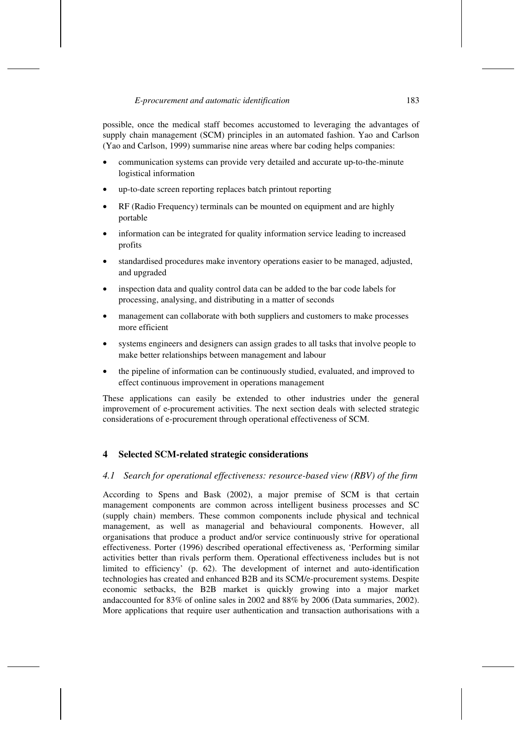possible, once the medical staff becomes accustomed to leveraging the advantages of supply chain management (SCM) principles in an automated fashion. Yao and Carlson (Yao and Carlson, 1999) summarise nine areas where bar coding helps companies:

- communication systems can provide very detailed and accurate up-to-the-minute logistical information
- up-to-date screen reporting replaces batch printout reporting
- RF (Radio Frequency) terminals can be mounted on equipment and are highly portable
- information can be integrated for quality information service leading to increased profits
- standardised procedures make inventory operations easier to be managed, adjusted, and upgraded
- inspection data and quality control data can be added to the bar code labels for processing, analysing, and distributing in a matter of seconds
- management can collaborate with both suppliers and customers to make processes more efficient
- systems engineers and designers can assign grades to all tasks that involve people to make better relationships between management and labour
- the pipeline of information can be continuously studied, evaluated, and improved to effect continuous improvement in operations management

These applications can easily be extended to other industries under the general improvement of e-procurement activities. The next section deals with selected strategic considerations of e-procurement through operational effectiveness of SCM.

## **4 Selected SCM-related strategic considerations**

## *4.1 Search for operational effectiveness: resource-based view (RBV) of the firm*

According to Spens and Bask (2002), a major premise of SCM is that certain management components are common across intelligent business processes and SC (supply chain) members. These common components include physical and technical management, as well as managerial and behavioural components. However, all organisations that produce a product and/or service continuously strive for operational effectiveness. Porter (1996) described operational effectiveness as, 'Performing similar activities better than rivals perform them. Operational effectiveness includes but is not limited to efficiency' (p. 62). The development of internet and auto-identification technologies has created and enhanced B2B and its SCM/e-procurement systems. Despite economic setbacks, the B2B market is quickly growing into a major market andaccounted for 83% of online sales in 2002 and 88% by 2006 (Data summaries, 2002). More applications that require user authentication and transaction authorisations with a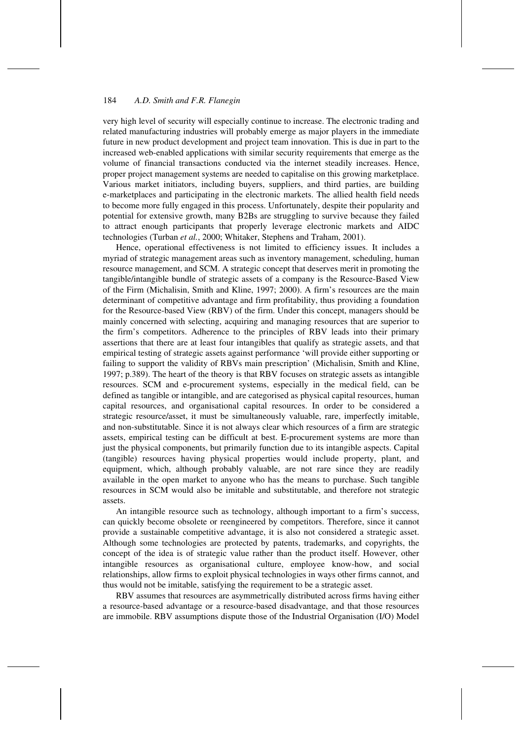very high level of security will especially continue to increase. The electronic trading and related manufacturing industries will probably emerge as major players in the immediate future in new product development and project team innovation. This is due in part to the increased web-enabled applications with similar security requirements that emerge as the volume of financial transactions conducted via the internet steadily increases. Hence, proper project management systems are needed to capitalise on this growing marketplace. Various market initiators, including buyers, suppliers, and third parties, are building e-marketplaces and participating in the electronic markets. The allied health field needs to become more fully engaged in this process. Unfortunately, despite their popularity and potential for extensive growth, many B2Bs are struggling to survive because they failed to attract enough participants that properly leverage electronic markets and AIDC technologies (Turban *et al.*, 2000; Whitaker, Stephens and Traham, 2001).

Hence, operational effectiveness is not limited to efficiency issues. It includes a myriad of strategic management areas such as inventory management, scheduling, human resource management, and SCM. A strategic concept that deserves merit in promoting the tangible/intangible bundle of strategic assets of a company is the Resource-Based View of the Firm (Michalisin, Smith and Kline, 1997; 2000). A firm's resources are the main determinant of competitive advantage and firm profitability, thus providing a foundation for the Resource-based View (RBV) of the firm. Under this concept, managers should be mainly concerned with selecting, acquiring and managing resources that are superior to the firm's competitors. Adherence to the principles of RBV leads into their primary assertions that there are at least four intangibles that qualify as strategic assets, and that empirical testing of strategic assets against performance 'will provide either supporting or failing to support the validity of RBVs main prescription' (Michalisin, Smith and Kline, 1997; p.389). The heart of the theory is that RBV focuses on strategic assets as intangible resources. SCM and e-procurement systems, especially in the medical field, can be defined as tangible or intangible, and are categorised as physical capital resources, human capital resources, and organisational capital resources. In order to be considered a strategic resource/asset, it must be simultaneously valuable, rare, imperfectly imitable, and non-substitutable. Since it is not always clear which resources of a firm are strategic assets, empirical testing can be difficult at best. E-procurement systems are more than just the physical components, but primarily function due to its intangible aspects. Capital (tangible) resources having physical properties would include property, plant, and equipment, which, although probably valuable, are not rare since they are readily available in the open market to anyone who has the means to purchase. Such tangible resources in SCM would also be imitable and substitutable, and therefore not strategic assets.

An intangible resource such as technology, although important to a firm's success, can quickly become obsolete or reengineered by competitors. Therefore, since it cannot provide a sustainable competitive advantage, it is also not considered a strategic asset. Although some technologies are protected by patents, trademarks, and copyrights, the concept of the idea is of strategic value rather than the product itself. However, other intangible resources as organisational culture, employee know-how, and social relationships, allow firms to exploit physical technologies in ways other firms cannot, and thus would not be imitable, satisfying the requirement to be a strategic asset.

RBV assumes that resources are asymmetrically distributed across firms having either a resource-based advantage or a resource-based disadvantage, and that those resources are immobile. RBV assumptions dispute those of the Industrial Organisation (I/O) Model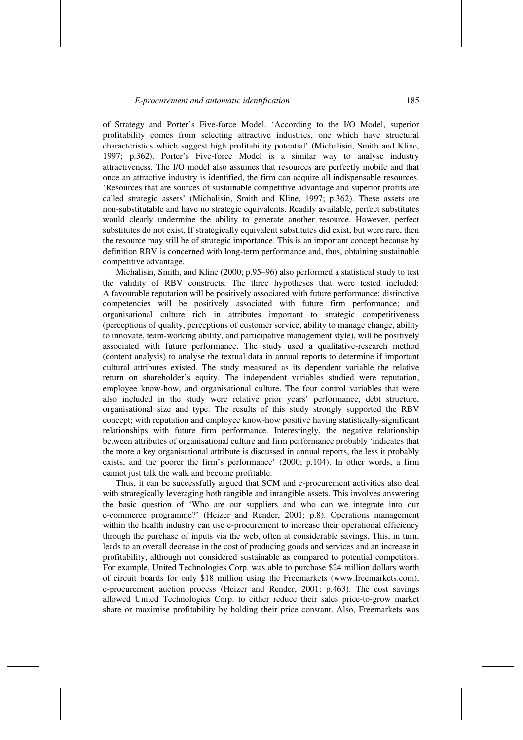of Strategy and Porter's Five-force Model. 'According to the I/O Model, superior profitability comes from selecting attractive industries, one which have structural characteristics which suggest high profitability potential' (Michalisin, Smith and Kline, 1997; p.362). Porter's Five-force Model is a similar way to analyse industry attractiveness. The I/O model also assumes that resources are perfectly mobile and that once an attractive industry is identified, the firm can acquire all indispensable resources. 'Resources that are sources of sustainable competitive advantage and superior profits are called strategic assets' (Michalisin, Smith and Kline, 1997; p.362). These assets are non-substitutable and have no strategic equivalents. Readily available, perfect substitutes would clearly undermine the ability to generate another resource. However, perfect substitutes do not exist. If strategically equivalent substitutes did exist, but were rare, then the resource may still be of strategic importance. This is an important concept because by definition RBV is concerned with long-term performance and, thus, obtaining sustainable competitive advantage.

Michalisin, Smith, and Kline (2000; p.95–96) also performed a statistical study to test the validity of RBV constructs. The three hypotheses that were tested included: A favourable reputation will be positively associated with future performance; distinctive competencies will be positively associated with future firm performance; and organisational culture rich in attributes important to strategic competitiveness (perceptions of quality, perceptions of customer service, ability to manage change, ability to innovate, team-working ability, and participative management style), will be positively associated with future performance. The study used a qualitative-research method (content analysis) to analyse the textual data in annual reports to determine if important cultural attributes existed. The study measured as its dependent variable the relative return on shareholder's equity. The independent variables studied were reputation, employee know-how, and organisational culture. The four control variables that were also included in the study were relative prior years' performance, debt structure, organisational size and type. The results of this study strongly supported the RBV concept; with reputation and employee know-how positive having statistically-significant relationships with future firm performance. Interestingly, the negative relationship between attributes of organisational culture and firm performance probably 'indicates that the more a key organisational attribute is discussed in annual reports, the less it probably exists, and the poorer the firm's performance' (2000; p.104). In other words, a firm cannot just talk the walk and become profitable.

Thus, it can be successfully argued that SCM and e-procurement activities also deal with strategically leveraging both tangible and intangible assets. This involves answering the basic question of 'Who are our suppliers and who can we integrate into our e-commerce programme?' (Heizer and Render, 2001; p.8). Operations management within the health industry can use e-procurement to increase their operational efficiency through the purchase of inputs via the web, often at considerable savings. This, in turn, leads to an overall decrease in the cost of producing goods and services and an increase in profitability, although not considered sustainable as compared to potential competitors. For example, United Technologies Corp. was able to purchase \$24 million dollars worth of circuit boards for only \$18 million using the Freemarkets (www.freemarkets.com), e-procurement auction process (Heizer and Render, 2001; p.463). The cost savings allowed United Technologies Corp. to either reduce their sales price-to-grow market share or maximise profitability by holding their price constant. Also, Freemarkets was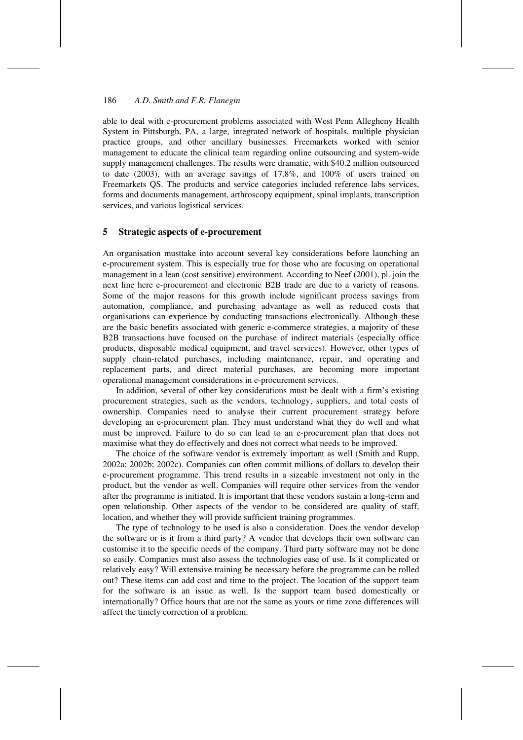able to deal with e-procurement problems associated with West Penn Allegheny Health System in Pittsburgh, PA, a large, integrated network of hospitals, multiple physician practice groups, and other ancillary businesses. Freemarkets worked with senior management to educate the clinical team regarding online outsourcing and system-wide supply management challenges. The results were dramatic, with \$40.2 million outsourced to date (2003), with an average savings of 17.8%, and 100% of users trained on Freemarkets QS. The products and service categories included reference labs services, forms and documents management, arthroscopy equipment, spinal implants, transcription services, and various logistical services.

#### **5 Strategic aspects of e-procurement**

An organisation musttake into account several key considerations before launching an e-procurement system. This is especially true for those who are focusing on operational management in a lean (cost sensitive) environment. According to Neef (2001), pl. join the next line here e-procurement and electronic B2B trade are due to a variety of reasons. Some of the major reasons for this growth include significant process savings from automation, compliance, and purchasing advantage as well as reduced costs that organisations can experience by conducting transactions electronically. Although these are the basic benefits associated with generic e-commerce strategies, a majority of these B2B transactions have focused on the purchase of indirect materials (especially office products, disposable medical equipment, and travel services). However, other types of supply chain-related purchases, including maintenance, repair, and operating and replacement parts, and direct material purchases, are becoming more important operational management considerations in e-procurement services.

In addition, several of other key considerations must be dealt with a firm's existing procurement strategies, such as the vendors, technology, suppliers, and total costs of ownership. Companies need to analyse their current procurement strategy before developing an e-procurement plan. They must understand what they do well and what must be improved. Failure to do so can lead to an e-procurement plan that does not maximise what they do effectively and does not correct what needs to be improved.

The choice of the software vendor is extremely important as well (Smith and Rupp, 2002a; 2002b; 2002c). Companies can often commit millions of dollars to develop their e-procurement programme. This trend results in a sizeable investment not only in the product, but the vendor as well. Companies will require other services from the vendor after the programme is initiated. It is important that these vendors sustain a long-term and open relationship. Other aspects of the vendor to be considered are quality of staff, location, and whether they will provide sufficient training programmes.

The type of technology to be used is also a consideration. Does the vendor develop the software or is it from a third party? A vendor that develops their own software can customise it to the specific needs of the company. Third party software may not be done so easily. Companies must also assess the technologies ease of use. Is it complicated or relatively easy? Will extensive training be necessary before the programme can be rolled out? These items can add cost and time to the project. The location of the support team for the software is an issue as well. Is the support team based domestically or internationally? Office hours that are not the same as yours or time zone differences will affect the timely correction of a problem.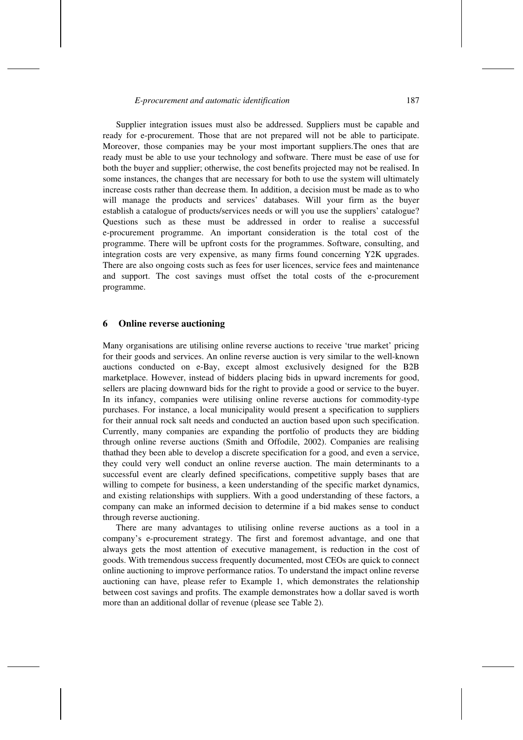Supplier integration issues must also be addressed. Suppliers must be capable and ready for e-procurement. Those that are not prepared will not be able to participate. Moreover, those companies may be your most important suppliers.The ones that are ready must be able to use your technology and software. There must be ease of use for both the buyer and supplier; otherwise, the cost benefits projected may not be realised. In some instances, the changes that are necessary for both to use the system will ultimately increase costs rather than decrease them. In addition, a decision must be made as to who will manage the products and services' databases. Will your firm as the buyer establish a catalogue of products/services needs or will you use the suppliers' catalogue? Questions such as these must be addressed in order to realise a successful e-procurement programme. An important consideration is the total cost of the programme. There will be upfront costs for the programmes. Software, consulting, and integration costs are very expensive, as many firms found concerning Y2K upgrades. There are also ongoing costs such as fees for user licences, service fees and maintenance and support. The cost savings must offset the total costs of the e-procurement programme.

## **6 Online reverse auctioning**

Many organisations are utilising online reverse auctions to receive 'true market' pricing for their goods and services. An online reverse auction is very similar to the well-known auctions conducted on e-Bay, except almost exclusively designed for the B2B marketplace. However, instead of bidders placing bids in upward increments for good, sellers are placing downward bids for the right to provide a good or service to the buyer. In its infancy, companies were utilising online reverse auctions for commodity-type purchases. For instance, a local municipality would present a specification to suppliers for their annual rock salt needs and conducted an auction based upon such specification. Currently, many companies are expanding the portfolio of products they are bidding through online reverse auctions (Smith and Offodile, 2002). Companies are realising thathad they been able to develop a discrete specification for a good, and even a service, they could very well conduct an online reverse auction. The main determinants to a successful event are clearly defined specifications, competitive supply bases that are willing to compete for business, a keen understanding of the specific market dynamics, and existing relationships with suppliers. With a good understanding of these factors, a company can make an informed decision to determine if a bid makes sense to conduct through reverse auctioning.

There are many advantages to utilising online reverse auctions as a tool in a company's e-procurement strategy. The first and foremost advantage, and one that always gets the most attention of executive management, is reduction in the cost of goods. With tremendous success frequently documented, most CEOs are quick to connect online auctioning to improve performance ratios. To understand the impact online reverse auctioning can have, please refer to Example 1, which demonstrates the relationship between cost savings and profits. The example demonstrates how a dollar saved is worth more than an additional dollar of revenue (please see Table 2).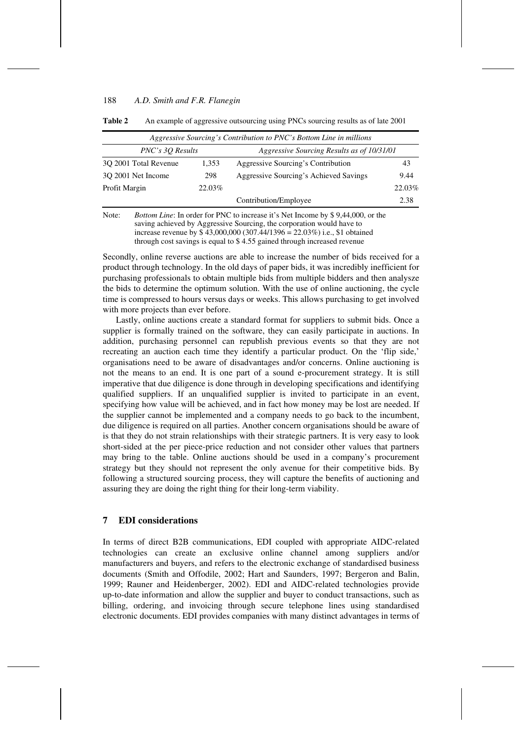| Table 2 | An example of aggressive outsourcing using PNCs sourcing results as of late 2001 |  |  |
|---------|----------------------------------------------------------------------------------|--|--|
|         |                                                                                  |  |  |

| Aggressive Sourcing's Contribution to PNC's Bottom Line in millions |        |                                            |        |  |  |  |  |
|---------------------------------------------------------------------|--------|--------------------------------------------|--------|--|--|--|--|
| PNC's 30 Results                                                    |        | Aggressive Sourcing Results as of 10/31/01 |        |  |  |  |  |
| 30 2001 Total Revenue                                               | 1.353  | Aggressive Sourcing's Contribution         | 43     |  |  |  |  |
| 30 2001 Net Income                                                  | 298    | Aggressive Sourcing's Achieved Savings     | 9.44   |  |  |  |  |
| Profit Margin                                                       | 22.03% |                                            | 22.03% |  |  |  |  |
|                                                                     |        | Contribution/Employee                      | 2.38   |  |  |  |  |

Note: *Bottom Line*: In order for PNC to increase it's Net Income by \$ 9,44,000, or the saving achieved by Aggressive Sourcing, the corporation would have to increase revenue by \$ 43,000,000 (307.44/1396 = 22.03%) i.e., \$1 obtained through cost savings is equal to \$ 4.55 gained through increased revenue

Secondly, online reverse auctions are able to increase the number of bids received for a product through technology. In the old days of paper bids, it was incredibly inefficient for purchasing professionals to obtain multiple bids from multiple bidders and then analysze the bids to determine the optimum solution. With the use of online auctioning, the cycle time is compressed to hours versus days or weeks. This allows purchasing to get involved with more projects than ever before.

Lastly, online auctions create a standard format for suppliers to submit bids. Once a supplier is formally trained on the software, they can easily participate in auctions. In addition, purchasing personnel can republish previous events so that they are not recreating an auction each time they identify a particular product. On the 'flip side,' organisations need to be aware of disadvantages and/or concerns. Online auctioning is not the means to an end. It is one part of a sound e-procurement strategy. It is still imperative that due diligence is done through in developing specifications and identifying qualified suppliers. If an unqualified supplier is invited to participate in an event, specifying how value will be achieved, and in fact how money may be lost are needed. If the supplier cannot be implemented and a company needs to go back to the incumbent, due diligence is required on all parties. Another concern organisations should be aware of is that they do not strain relationships with their strategic partners. It is very easy to look short-sided at the per piece-price reduction and not consider other values that partners may bring to the table. Online auctions should be used in a company's procurement strategy but they should not represent the only avenue for their competitive bids. By following a structured sourcing process, they will capture the benefits of auctioning and assuring they are doing the right thing for their long-term viability.

## **7 EDI considerations**

In terms of direct B2B communications, EDI coupled with appropriate AIDC-related technologies can create an exclusive online channel among suppliers and/or manufacturers and buyers, and refers to the electronic exchange of standardised business documents (Smith and Offodile, 2002; Hart and Saunders, 1997; Bergeron and Balin, 1999; Rauner and Heidenberger, 2002). EDI and AIDC-related technologies provide up-to-date information and allow the supplier and buyer to conduct transactions, such as billing, ordering, and invoicing through secure telephone lines using standardised electronic documents. EDI provides companies with many distinct advantages in terms of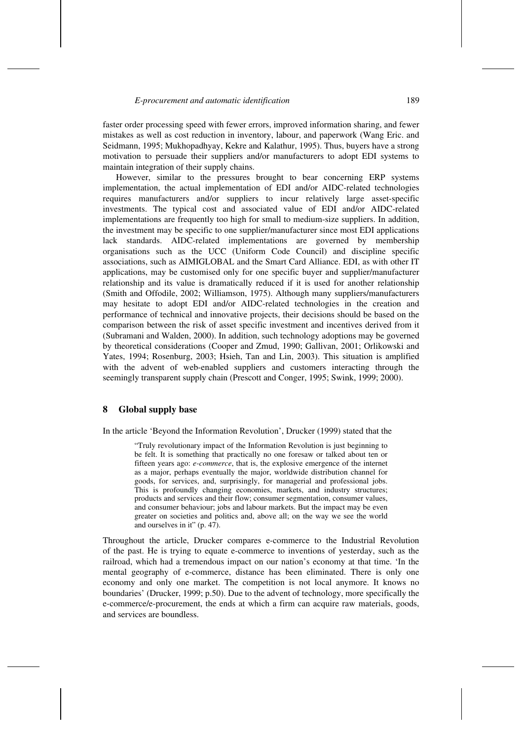faster order processing speed with fewer errors, improved information sharing, and fewer mistakes as well as cost reduction in inventory, labour, and paperwork (Wang Eric. and Seidmann, 1995; Mukhopadhyay, Kekre and Kalathur, 1995). Thus, buyers have a strong motivation to persuade their suppliers and/or manufacturers to adopt EDI systems to maintain integration of their supply chains.

However, similar to the pressures brought to bear concerning ERP systems implementation, the actual implementation of EDI and/or AIDC-related technologies requires manufacturers and/or suppliers to incur relatively large asset-specific investments. The typical cost and associated value of EDI and/or AIDC-related implementations are frequently too high for small to medium-size suppliers. In addition, the investment may be specific to one supplier/manufacturer since most EDI applications lack standards. AIDC-related implementations are governed by membership organisations such as the UCC (Uniform Code Council) and discipline specific associations, such as AIMIGLOBAL and the Smart Card Alliance. EDI, as with other IT applications, may be customised only for one specific buyer and supplier/manufacturer relationship and its value is dramatically reduced if it is used for another relationship (Smith and Offodile, 2002; Williamson, 1975). Although many suppliers/manufacturers may hesitate to adopt EDI and/or AIDC-related technologies in the creation and performance of technical and innovative projects, their decisions should be based on the comparison between the risk of asset specific investment and incentives derived from it (Subramani and Walden, 2000). In addition, such technology adoptions may be governed by theoretical considerations (Cooper and Zmud, 1990; Gallivan, 2001; Orlikowski and Yates, 1994; Rosenburg, 2003; Hsieh, Tan and Lin, 2003). This situation is amplified with the advent of web-enabled suppliers and customers interacting through the seemingly transparent supply chain (Prescott and Conger, 1995; Swink, 1999; 2000).

## **8 Global supply base**

In the article 'Beyond the Information Revolution', Drucker (1999) stated that the

"Truly revolutionary impact of the Information Revolution is just beginning to be felt. It is something that practically no one foresaw or talked about ten or fifteen years ago: *e-commerce*, that is, the explosive emergence of the internet as a major, perhaps eventually the major, worldwide distribution channel for goods, for services, and, surprisingly, for managerial and professional jobs. This is profoundly changing economies, markets, and industry structures; products and services and their flow; consumer segmentation, consumer values, and consumer behaviour; jobs and labour markets. But the impact may be even greater on societies and politics and, above all; on the way we see the world and ourselves in it" (p. 47).

Throughout the article, Drucker compares e-commerce to the Industrial Revolution of the past. He is trying to equate e-commerce to inventions of yesterday, such as the railroad, which had a tremendous impact on our nation's economy at that time. 'In the mental geography of e-commerce, distance has been eliminated. There is only one economy and only one market. The competition is not local anymore. It knows no boundaries' (Drucker, 1999; p.50). Due to the advent of technology, more specifically the e-commerce/e-procurement, the ends at which a firm can acquire raw materials, goods, and services are boundless.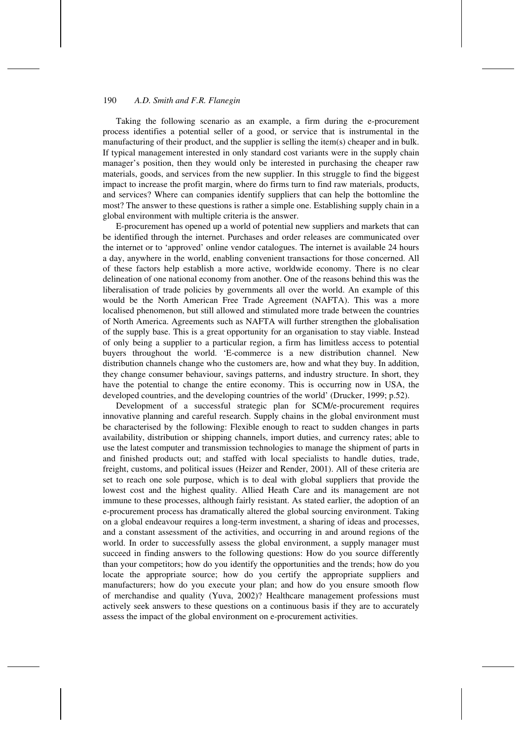Taking the following scenario as an example, a firm during the e-procurement process identifies a potential seller of a good, or service that is instrumental in the manufacturing of their product, and the supplier is selling the item(s) cheaper and in bulk. If typical management interested in only standard cost variants were in the supply chain manager's position, then they would only be interested in purchasing the cheaper raw materials, goods, and services from the new supplier. In this struggle to find the biggest impact to increase the profit margin, where do firms turn to find raw materials, products, and services? Where can companies identify suppliers that can help the bottomline the most? The answer to these questions is rather a simple one. Establishing supply chain in a global environment with multiple criteria is the answer.

E-procurement has opened up a world of potential new suppliers and markets that can be identified through the internet. Purchases and order releases are communicated over the internet or to 'approved' online vendor catalogues. The internet is available 24 hours a day, anywhere in the world, enabling convenient transactions for those concerned. All of these factors help establish a more active, worldwide economy. There is no clear delineation of one national economy from another. One of the reasons behind this was the liberalisation of trade policies by governments all over the world. An example of this would be the North American Free Trade Agreement (NAFTA). This was a more localised phenomenon, but still allowed and stimulated more trade between the countries of North America. Agreements such as NAFTA will further strengthen the globalisation of the supply base. This is a great opportunity for an organisation to stay viable. Instead of only being a supplier to a particular region, a firm has limitless access to potential buyers throughout the world. 'E-commerce is a new distribution channel. New distribution channels change who the customers are, how and what they buy. In addition, they change consumer behaviour, savings patterns, and industry structure. In short, they have the potential to change the entire economy. This is occurring now in USA, the developed countries, and the developing countries of the world' (Drucker, 1999; p.52).

Development of a successful strategic plan for SCM/e-procurement requires innovative planning and careful research. Supply chains in the global environment must be characterised by the following: Flexible enough to react to sudden changes in parts availability, distribution or shipping channels, import duties, and currency rates; able to use the latest computer and transmission technologies to manage the shipment of parts in and finished products out; and staffed with local specialists to handle duties, trade, freight, customs, and political issues (Heizer and Render, 2001). All of these criteria are set to reach one sole purpose, which is to deal with global suppliers that provide the lowest cost and the highest quality. Allied Heath Care and its management are not immune to these processes, although fairly resistant. As stated earlier, the adoption of an e-procurement process has dramatically altered the global sourcing environment. Taking on a global endeavour requires a long-term investment, a sharing of ideas and processes, and a constant assessment of the activities, and occurring in and around regions of the world. In order to successfully assess the global environment, a supply manager must succeed in finding answers to the following questions: How do you source differently than your competitors; how do you identify the opportunities and the trends; how do you locate the appropriate source; how do you certify the appropriate suppliers and manufacturers; how do you execute your plan; and how do you ensure smooth flow of merchandise and quality (Yuva, 2002)? Healthcare management professions must actively seek answers to these questions on a continuous basis if they are to accurately assess the impact of the global environment on e-procurement activities.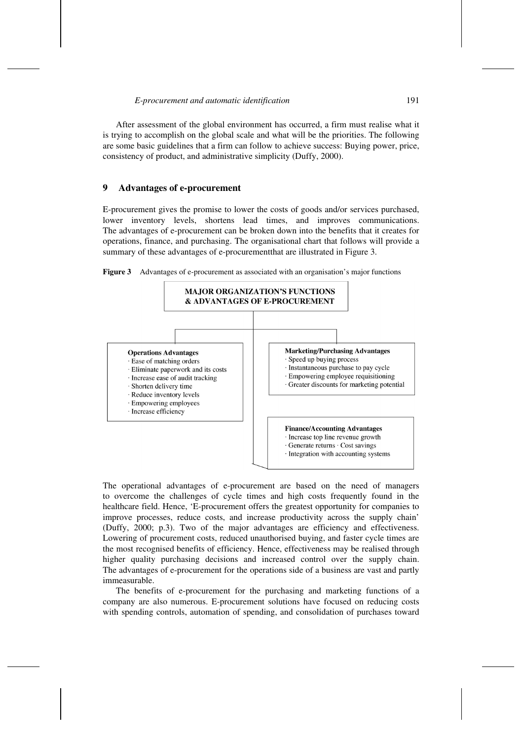After assessment of the global environment has occurred, a firm must realise what it is trying to accomplish on the global scale and what will be the priorities. The following are some basic guidelines that a firm can follow to achieve success: Buying power, price, consistency of product, and administrative simplicity (Duffy, 2000).

## **9 Advantages of e-procurement**

E-procurement gives the promise to lower the costs of goods and/or services purchased, lower inventory levels, shortens lead times, and improves communications. The advantages of e-procurement can be broken down into the benefits that it creates for operations, finance, and purchasing. The organisational chart that follows will provide a summary of these advantages of e-procurementthat are illustrated in Figure 3.





The operational advantages of e-procurement are based on the need of managers to overcome the challenges of cycle times and high costs frequently found in the healthcare field. Hence, 'E-procurement offers the greatest opportunity for companies to improve processes, reduce costs, and increase productivity across the supply chain' (Duffy, 2000; p.3). Two of the major advantages are efficiency and effectiveness. Lowering of procurement costs, reduced unauthorised buying, and faster cycle times are the most recognised benefits of efficiency. Hence, effectiveness may be realised through higher quality purchasing decisions and increased control over the supply chain. The advantages of e-procurement for the operations side of a business are vast and partly immeasurable.

The benefits of e-procurement for the purchasing and marketing functions of a company are also numerous. E-procurement solutions have focused on reducing costs with spending controls, automation of spending, and consolidation of purchases toward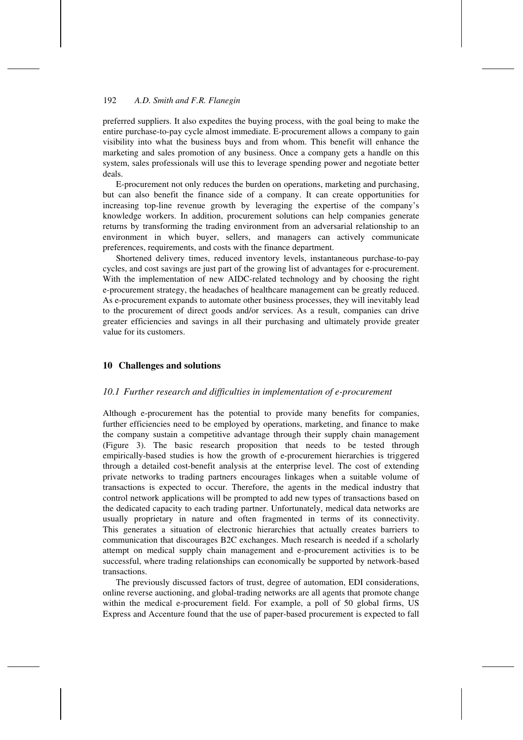preferred suppliers. It also expedites the buying process, with the goal being to make the entire purchase-to-pay cycle almost immediate. E-procurement allows a company to gain visibility into what the business buys and from whom. This benefit will enhance the marketing and sales promotion of any business. Once a company gets a handle on this system, sales professionals will use this to leverage spending power and negotiate better deals.

E-procurement not only reduces the burden on operations, marketing and purchasing, but can also benefit the finance side of a company. It can create opportunities for increasing top-line revenue growth by leveraging the expertise of the company's knowledge workers. In addition, procurement solutions can help companies generate returns by transforming the trading environment from an adversarial relationship to an environment in which buyer, sellers, and managers can actively communicate preferences, requirements, and costs with the finance department.

Shortened delivery times, reduced inventory levels, instantaneous purchase-to-pay cycles, and cost savings are just part of the growing list of advantages for e-procurement. With the implementation of new AIDC-related technology and by choosing the right e-procurement strategy, the headaches of healthcare management can be greatly reduced. As e-procurement expands to automate other business processes, they will inevitably lead to the procurement of direct goods and/or services. As a result, companies can drive greater efficiencies and savings in all their purchasing and ultimately provide greater value for its customers.

# **10 Challenges and solutions**

#### *10.1 Further research and difficulties in implementation of e-procurement*

Although e-procurement has the potential to provide many benefits for companies, further efficiencies need to be employed by operations, marketing, and finance to make the company sustain a competitive advantage through their supply chain management (Figure 3). The basic research proposition that needs to be tested through empirically-based studies is how the growth of e-procurement hierarchies is triggered through a detailed cost-benefit analysis at the enterprise level. The cost of extending private networks to trading partners encourages linkages when a suitable volume of transactions is expected to occur. Therefore, the agents in the medical industry that control network applications will be prompted to add new types of transactions based on the dedicated capacity to each trading partner. Unfortunately, medical data networks are usually proprietary in nature and often fragmented in terms of its connectivity. This generates a situation of electronic hierarchies that actually creates barriers to communication that discourages B2C exchanges. Much research is needed if a scholarly attempt on medical supply chain management and e-procurement activities is to be successful, where trading relationships can economically be supported by network-based transactions.

The previously discussed factors of trust, degree of automation, EDI considerations, online reverse auctioning, and global-trading networks are all agents that promote change within the medical e-procurement field. For example, a poll of 50 global firms, US Express and Accenture found that the use of paper-based procurement is expected to fall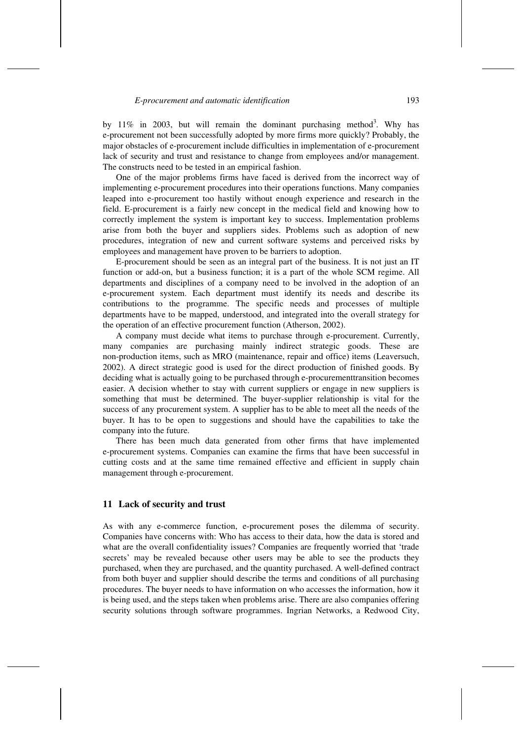by 11% in 2003, but will remain the dominant purchasing method<sup>3</sup>. Why has e-procurement not been successfully adopted by more firms more quickly? Probably, the major obstacles of e-procurement include difficulties in implementation of e-procurement lack of security and trust and resistance to change from employees and/or management. The constructs need to be tested in an empirical fashion.

One of the major problems firms have faced is derived from the incorrect way of implementing e-procurement procedures into their operations functions. Many companies leaped into e-procurement too hastily without enough experience and research in the field. E-procurement is a fairly new concept in the medical field and knowing how to correctly implement the system is important key to success. Implementation problems arise from both the buyer and suppliers sides. Problems such as adoption of new procedures, integration of new and current software systems and perceived risks by employees and management have proven to be barriers to adoption.

E-procurement should be seen as an integral part of the business. It is not just an IT function or add-on, but a business function; it is a part of the whole SCM regime. All departments and disciplines of a company need to be involved in the adoption of an e-procurement system. Each department must identify its needs and describe its contributions to the programme. The specific needs and processes of multiple departments have to be mapped, understood, and integrated into the overall strategy for the operation of an effective procurement function (Atherson, 2002).

A company must decide what items to purchase through e-procurement. Currently, many companies are purchasing mainly indirect strategic goods. These are non-production items, such as MRO (maintenance, repair and office) items (Leaversuch, 2002). A direct strategic good is used for the direct production of finished goods. By deciding what is actually going to be purchased through e-procurementtransition becomes easier. A decision whether to stay with current suppliers or engage in new suppliers is something that must be determined. The buyer-supplier relationship is vital for the success of any procurement system. A supplier has to be able to meet all the needs of the buyer. It has to be open to suggestions and should have the capabilities to take the company into the future.

There has been much data generated from other firms that have implemented e-procurement systems. Companies can examine the firms that have been successful in cutting costs and at the same time remained effective and efficient in supply chain management through e-procurement.

## **11 Lack of security and trust**

As with any e-commerce function, e-procurement poses the dilemma of security. Companies have concerns with: Who has access to their data, how the data is stored and what are the overall confidentiality issues? Companies are frequently worried that 'trade secrets' may be revealed because other users may be able to see the products they purchased, when they are purchased, and the quantity purchased. A well-defined contract from both buyer and supplier should describe the terms and conditions of all purchasing procedures. The buyer needs to have information on who accesses the information, how it is being used, and the steps taken when problems arise. There are also companies offering security solutions through software programmes. Ingrian Networks, a Redwood City,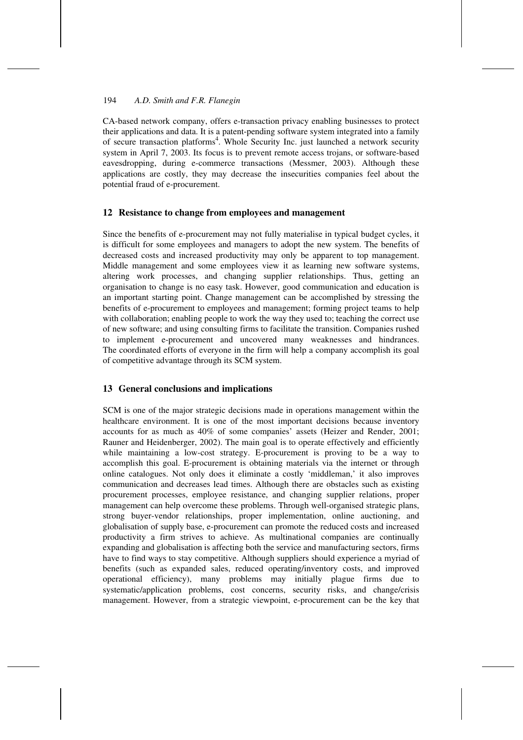CA-based network company, offers e-transaction privacy enabling businesses to protect their applications and data. It is a patent-pending software system integrated into a family of secure transaction platforms<sup>4</sup>. Whole Security Inc. just launched a network security system in April 7, 2003. Its focus is to prevent remote access trojans, or software-based eavesdropping, during e-commerce transactions (Messmer, 2003). Although these applications are costly, they may decrease the insecurities companies feel about the potential fraud of e-procurement.

## **12 Resistance to change from employees and management**

Since the benefits of e-procurement may not fully materialise in typical budget cycles, it is difficult for some employees and managers to adopt the new system. The benefits of decreased costs and increased productivity may only be apparent to top management. Middle management and some employees view it as learning new software systems, altering work processes, and changing supplier relationships. Thus, getting an organisation to change is no easy task. However, good communication and education is an important starting point. Change management can be accomplished by stressing the benefits of e-procurement to employees and management; forming project teams to help with collaboration; enabling people to work the way they used to; teaching the correct use of new software; and using consulting firms to facilitate the transition. Companies rushed to implement e-procurement and uncovered many weaknesses and hindrances. The coordinated efforts of everyone in the firm will help a company accomplish its goal of competitive advantage through its SCM system.

## **13 General conclusions and implications**

SCM is one of the major strategic decisions made in operations management within the healthcare environment. It is one of the most important decisions because inventory accounts for as much as 40% of some companies' assets (Heizer and Render, 2001; Rauner and Heidenberger, 2002). The main goal is to operate effectively and efficiently while maintaining a low-cost strategy. E-procurement is proving to be a way to accomplish this goal. E-procurement is obtaining materials via the internet or through online catalogues. Not only does it eliminate a costly 'middleman,' it also improves communication and decreases lead times. Although there are obstacles such as existing procurement processes, employee resistance, and changing supplier relations, proper management can help overcome these problems. Through well-organised strategic plans, strong buyer-vendor relationships, proper implementation, online auctioning, and globalisation of supply base, e-procurement can promote the reduced costs and increased productivity a firm strives to achieve. As multinational companies are continually expanding and globalisation is affecting both the service and manufacturing sectors, firms have to find ways to stay competitive. Although suppliers should experience a myriad of benefits (such as expanded sales, reduced operating/inventory costs, and improved operational efficiency), many problems may initially plague firms due to systematic/application problems, cost concerns, security risks, and change/crisis management. However, from a strategic viewpoint, e-procurement can be the key that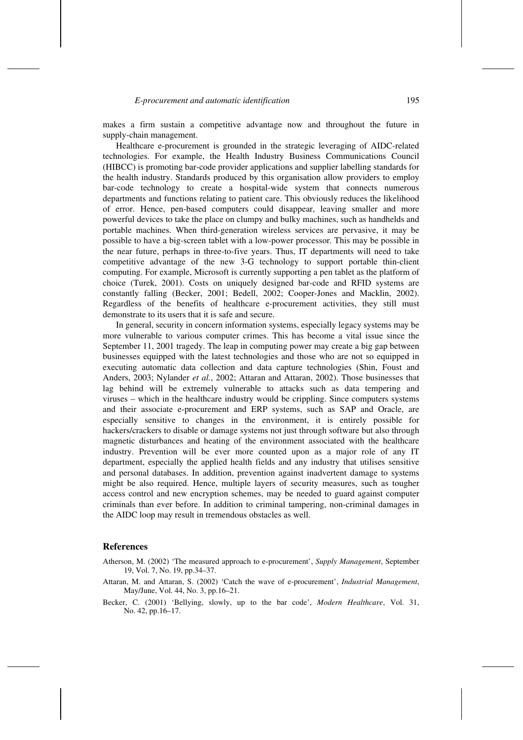makes a firm sustain a competitive advantage now and throughout the future in supply-chain management.

Healthcare e-procurement is grounded in the strategic leveraging of AIDC-related technologies. For example, the Health Industry Business Communications Council (HIBCC) is promoting bar-code provider applications and supplier labelling standards for the health industry. Standards produced by this organisation allow providers to employ bar-code technology to create a hospital-wide system that connects numerous departments and functions relating to patient care. This obviously reduces the likelihood of error. Hence, pen-based computers could disappear, leaving smaller and more powerful devices to take the place on clumpy and bulky machines, such as handhelds and portable machines. When third-generation wireless services are pervasive, it may be possible to have a big-screen tablet with a low-power processor. This may be possible in the near future, perhaps in three-to-five years. Thus, IT departments will need to take competitive advantage of the new 3-G technology to support portable thin-client computing. For example, Microsoft is currently supporting a pen tablet as the platform of choice (Turek, 2001). Costs on uniquely designed bar-code and RFID systems are constantly falling (Becker, 2001; Bedell, 2002; Cooper-Jones and Macklin, 2002). Regardless of the benefits of healthcare e-procurement activities, they still must demonstrate to its users that it is safe and secure.

In general, security in concern information systems, especially legacy systems may be more vulnerable to various computer crimes. This has become a vital issue since the September 11, 2001 tragedy. The leap in computing power may create a big gap between businesses equipped with the latest technologies and those who are not so equipped in executing automatic data collection and data capture technologies (Shin, Foust and Anders, 2003; Nylander *et al.*, 2002; Attaran and Attaran, 2002). Those businesses that lag behind will be extremely vulnerable to attacks such as data tempering and viruses – which in the healthcare industry would be crippling. Since computers systems and their associate e-procurement and ERP systems, such as SAP and Oracle, are especially sensitive to changes in the environment, it is entirely possible for hackers/crackers to disable or damage systems not just through software but also through magnetic disturbances and heating of the environment associated with the healthcare industry. Prevention will be ever more counted upon as a major role of any IT department, especially the applied health fields and any industry that utilises sensitive and personal databases. In addition, prevention against inadvertent damage to systems might be also required. Hence, multiple layers of security measures, such as tougher access control and new encryption schemes, may be needed to guard against computer criminals than ever before. In addition to criminal tampering, non-criminal damages in the AIDC loop may result in tremendous obstacles as well.

#### **References**

- Atherson, M. (2002) 'The measured approach to e-procurement', *Supply Management*, September 19, Vol. 7, No. 19, pp.34–37.
- Attaran, M. and Attaran, S. (2002) 'Catch the wave of e-procurement', *Industrial Management*, May/June, Vol. 44, No. 3, pp.16–21.
- Becker, C. (2001) 'Bellying, slowly, up to the bar code', *Modern Healthcare*, Vol. 31, No. 42, pp.16–17.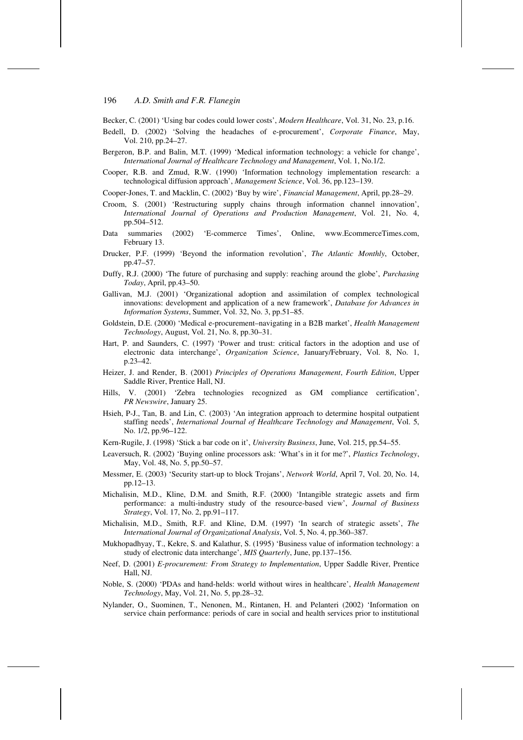Becker, C. (2001) 'Using bar codes could lower costs', *Modern Healthcare*, Vol. 31, No. 23, p.16.

- Bedell, D. (2002) 'Solving the headaches of e-procurement', *Corporate Finance*, May, Vol. 210, pp.24–27.
- Bergeron, B.P. and Balin, M.T. (1999) 'Medical information technology: a vehicle for change', *International Journal of Healthcare Technology and Management*, Vol. 1, No.1/2.
- Cooper, R.B. and Zmud, R.W. (1990) 'Information technology implementation research: a technological diffusion approach', *Management Science*, Vol. 36, pp.123–139.
- Cooper-Jones, T. and Macklin, C. (2002) 'Buy by wire', *Financial Management*, April, pp.28–29.
- Croom, S. (2001) 'Restructuring supply chains through information channel innovation', *International Journal of Operations and Production Management*, Vol. 21, No. 4, pp.504–512.
- Data summaries (2002) 'E-commerce Times', Online, www.EcommerceTimes.com, February 13.
- Drucker, P.F. (1999) 'Beyond the information revolution', *The Atlantic Monthly*, October, pp.47–57.
- Duffy, R.J. (2000) 'The future of purchasing and supply: reaching around the globe', *Purchasing Today*, April, pp.43–50.
- Gallivan, M.J. (2001) 'Organizational adoption and assimilation of complex technological innovations: development and application of a new framework', *Database for Advances in Information Systems*, Summer, Vol. 32, No. 3, pp.51–85.
- Goldstein, D.E. (2000) 'Medical e-procurement–navigating in a B2B market', *Health Management Technology*, August, Vol. 21, No. 8, pp.30–31.
- Hart, P. and Saunders, C. (1997) 'Power and trust: critical factors in the adoption and use of electronic data interchange', *Organization Science*, January/February, Vol. 8, No. 1, p.23–42.
- Heizer, J. and Render, B. (2001) *Principles of Operations Management*, *Fourth Edition*, Upper Saddle River, Prentice Hall, NJ.
- Hills, V. (2001) 'Zebra technologies recognized as GM compliance certification', *PR Newswire*, January 25.
- Hsieh, P-J., Tan, B. and Lin, C. (2003) 'An integration approach to determine hospital outpatient staffing needs', *International Journal of Healthcare Technology and Management*, Vol. 5, No. 1/2, pp.96–122.
- Kern-Rugile, J. (1998) 'Stick a bar code on it', *University Business*, June, Vol. 215, pp.54–55.
- Leaversuch, R. (2002) 'Buying online processors ask: 'What's in it for me?', *Plastics Technology*, May, Vol. 48, No. 5, pp.50–57.
- Messmer, E. (2003) 'Security start-up to block Trojans', *Network World*, April 7, Vol. 20, No. 14, pp.12–13.
- Michalisin, M.D., Kline, D.M. and Smith, R.F. (2000) 'Intangible strategic assets and firm performance: a multi-industry study of the resource-based view', *Journal of Business Strategy*, Vol. 17, No. 2, pp.91–117.
- Michalisin, M.D., Smith, R.F. and Kline, D.M. (1997) 'In search of strategic assets', *The International Journal of Organizational Analysis*, Vol. 5, No. 4, pp.360–387.
- Mukhopadhyay, T., Kekre, S. and Kalathur, S. (1995) 'Business value of information technology: a study of electronic data interchange', *MIS Quarterly*, June, pp.137–156.
- Neef, D. (2001) *E-procurement: From Strategy to Implementation*, Upper Saddle River, Prentice Hall, NJ.
- Noble, S. (2000) 'PDAs and hand-helds: world without wires in healthcare', *Health Management Technology*, May, Vol. 21, No. 5, pp.28–32.
- Nylander, O., Suominen, T., Nenonen, M., Rintanen, H. and Pelanteri (2002) 'Information on service chain performance: periods of care in social and health services prior to institutional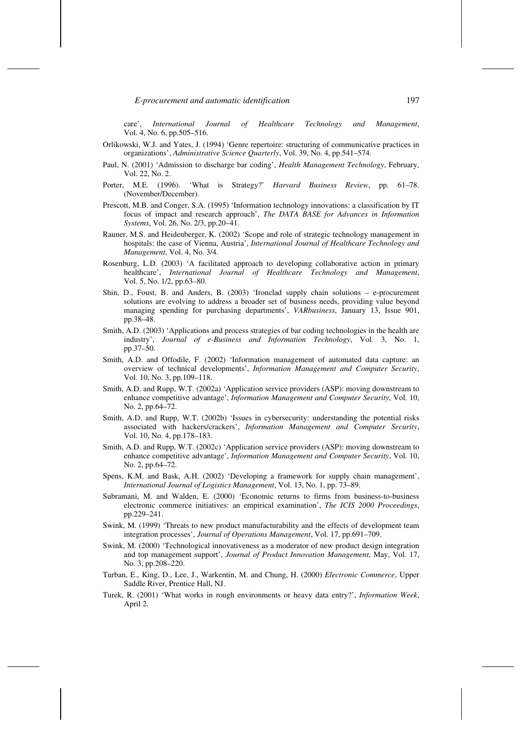care', *International Journal of Healthcare Technology and Management*, Vol. 4, No. 6, pp.505–516.

- Orlikowski, W.J. and Yates, J. (1994) 'Genre repertoire: structuring of communicative practices in organizations', *Administrative Science Quarterly*, Vol. 39, No. 4, pp.541–574.
- Paul, N. (2001) 'Admission to discharge bar coding', *Health Management Technology*, February, Vol. 22, No. 2.
- Porter, M.E. (1996). 'What is Strategy?' *Harvard Business Review*, pp. 61–78. (November/December).
- Prescott, M.B. and Conger, S.A. (1995) 'Information technology innovations: a classification by IT focus of impact and research approach', *The DATA BASE for Advances in Information Systems*, Vol. 26, No. 2/3, pp.20–41.
- Rauner, M.S. and Heidenberger, K. (2002) 'Scope and role of strategic technology management in hospitals: the case of Vienna, Austria', *International Journal of Healthcare Technology and Management*, Vol. 4, No. 3/4.
- Rosenburg, L.D. (2003) 'A facilitated approach to developing collaborative action in primary healthcare', *International Journal of Healthcare Technology and Management*, Vol. 5, No. 1/2, pp.63–80.
- Shin, D., Foust, B. and Anders, B. (2003) 'Ironclad supply chain solutions e-procurement solutions are evolving to address a broader set of business needs, providing value beyond managing spending for purchasing departments', *VARbusiness*, January 13, Issue 901, pp.38–48.
- Smith, A.D. (2003) 'Applications and process strategies of bar coding technologies in the health are industry', *Journal of e-Business and Information Technology*, Vol. 3, No. 1, pp.37–50.
- Smith, A.D. and Offodile, F. (2002) 'Information management of automated data capture: an overview of technical developments', *Information Management and Computer Security*, Vol. 10, No. 3, pp.109–118.
- Smith, A.D. and Rupp, W.T. (2002a) 'Application service providers (ASP): moving downstream to enhance competitive advantage', *Information Management and Computer Security*, Vol. 10, No. 2, pp.64–72.
- Smith, A.D. and Rupp, W.T. (2002b) 'Issues in cybersecurity: understanding the potential risks associated with hackers/crackers', *Information Management and Computer Security*, Vol. 10, No. 4, pp.178–183.
- Smith, A.D. and Rupp, W.T. (2002c) 'Application service providers (ASP): moving downstream to enhance competitive advantage', *Information Management and Computer Security*, Vol. 10, No. 2, pp.64–72.
- Spens, K.M. and Bask, A.H. (2002) 'Developing a framework for supply chain management', *International Journal of Logistics Management*, Vol. 13, No. 1, pp. 73–89.
- Subramani, M. and Walden, E. (2000) 'Economic returns to firms from business-to-business electronic commerce initiatives: an empirical examination', *The ICIS 2000 Proceedings*, pp.229–241.
- Swink, M. (1999) 'Threats to new product manufacturability and the effects of development team integration processes', *Journal of Operations Management*, Vol. 17, pp.691–709.
- Swink, M. (2000) 'Technological innovativeness as a moderator of new product design integration and top management support', *Journal of Product Innovation Management*, May, Vol. 17, No. 3, pp.208–220.
- Turban, E., King, D., Lee, J., Warkentin, M. and Chung, H. (2000) *Electronic Commerce*, Upper Saddle River, Prentice Hall, NJ.
- Turek, R. (2001) 'What works in rough environments or heavy data entry?', *Information Week*, April 2.